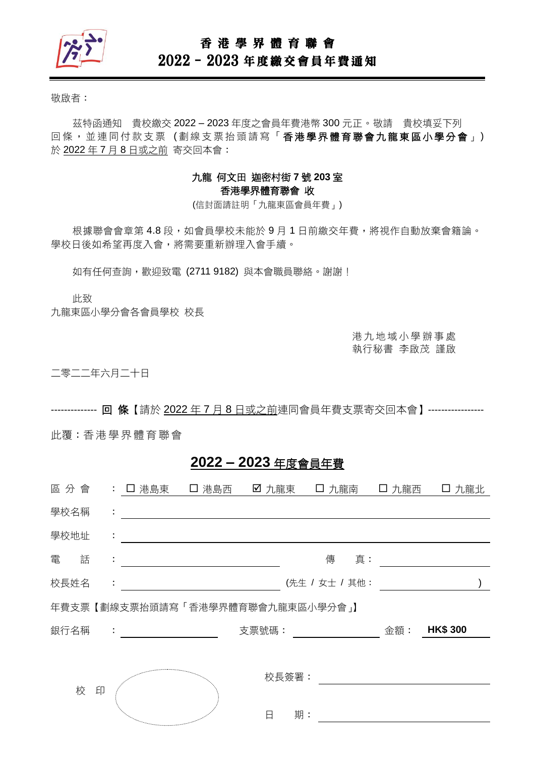

### 香 港 學 界 體 育 聯 會

# 2022–2023 年度繳交會員年費通知

敬啟者:

茲特函通知 貴校繳交 2022 – 2023 年度之會員年費港幣 300 元正。敬請 貴校填妥下列 回條, 並連同付款支票(劃線支票抬頭請寫「香港學界體育聯會九龍東區小學分會」) 於 2022 年 7 月 8 日或之前 寄交回本會:

#### 九龍 何文田 迦密村街 **7** 號 **203** 室 香港學界體育聯會 收

(信封面請註明「九龍東區會員年費」)

根據聯會會章第 4.8 段,如會員學校未能於9月1日前繳交年費,將視作自動放棄會籍論。 學校日後如希望再度入會,將需要重新辦理入會手續。

如有任何查詢,歡迎致電 (2711 9182)與本會職員聯絡。謝謝!

此致

九龍東區小學分會各會員學校 校長

港 九 地 域 小 學 辦 事 處 執行秘書 李啟茂 謹啟

二零二二年六月二十日

-------------- 回 條【請於 2022 年 7 月 8 日或之前連同會員年費支票寄交回本會】-----------------

此覆:香港 學 界體 育 聯會

## **2022 – 2023** 年度會員年費

| 區分會  |   |    | : 口 港島東                                                                                                                                                                                                                             | 口 港島西 | ☑ 九龍東 |                | 口 九龍南 | 口 九龍西 | 口 九龍北           |  |
|------|---|----|-------------------------------------------------------------------------------------------------------------------------------------------------------------------------------------------------------------------------------------|-------|-------|----------------|-------|-------|-----------------|--|
| 學校名稱 |   | ÷  |                                                                                                                                                                                                                                     |       |       |                |       |       |                 |  |
| 學校地址 |   | ÷  |                                                                                                                                                                                                                                     |       |       |                |       |       |                 |  |
| 電    | 話 | ÷  |                                                                                                                                                                                                                                     |       |       | 傳              | 真:    |       |                 |  |
| 校長姓名 |   | ÷. |                                                                                                                                                                                                                                     |       |       | (先生 / 女士 / 其他: |       |       |                 |  |
|      |   |    | 年費支票【劃線支票抬頭請寫「香港學界體育聯會九龍東區小學分會」】                                                                                                                                                                                                    |       |       |                |       |       |                 |  |
| 銀行名稱 |   | ÷  |                                                                                                                                                                                                                                     |       | 支票號碼: |                |       | 金額:   | <b>HK\$ 300</b> |  |
|      |   |    |                                                                                                                                                                                                                                     |       |       |                |       |       |                 |  |
|      | 校 |    |                                                                                                                                                                                                                                     |       | 校長簽署: |                |       |       |                 |  |
|      |   | 印  |                                                                                                                                                                                                                                     |       |       |                |       |       |                 |  |
|      |   |    | $\label{eq:1} \begin{array}{l} \mathcal{P}_{\mathcal{M}_{\mathcal{M}_{\mathcal{M}_{\mathcal{M}_{\mathcal{M}_{\mathcal{M}_{\mathcal{M}}}}}}} \times \mathcal{N}_{\mathcal{M}_{\mathcal{M}_{\mathcal{M}_{\mathcal{M}}}}} \end{array}$ |       | 日     | 期:             |       |       |                 |  |